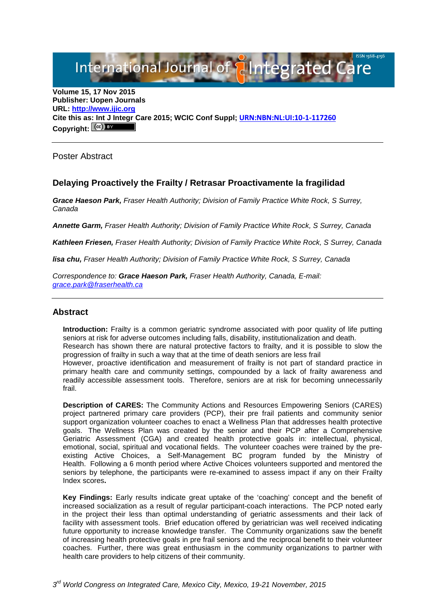International Journal of **Elntegrated Care** 

**Volume 15, 17 Nov 2015 Publisher: Uopen Journals URL: [http://www.ijic.org](http://www.ijic.org/) Cite this as: Int J Integr Care 2015; WCIC Conf Suppl; [URN:NBN:NL:UI:10-1-117260](http://persistent-identifier.nl/?identifier=URN:NBN:NL:UI:10-1-117260) Copyright:**

Poster Abstract

# **Delaying Proactively the Frailty / Retrasar Proactivamente la fragilidad**

*Grace Haeson Park, Fraser Health Authority; Division of Family Practice White Rock, S Surrey, Canada*

*Annette Garm, Fraser Health Authority; Division of Family Practice White Rock, S Surrey, Canada*

*Kathleen Friesen, Fraser Health Authority; Division of Family Practice White Rock, S Surrey, Canada*

*lisa chu, Fraser Health Authority; Division of Family Practice White Rock, S Surrey, Canada*

*Correspondence to: Grace Haeson Park, Fraser Health Authority, Canada, E-mail: [grace.park@fraserhealth.ca](mailto:grace.park@fraserhealth.ca)*

#### **Abstract**

**Introduction:** Frailty is a common geriatric syndrome associated with poor quality of life putting seniors at risk for adverse outcomes including falls, disability, institutionalization and death. Research has shown there are natural protective factors to frailty, and it is possible to slow the progression of frailty in such a way that at the time of death seniors are less frail However, proactive identification and measurement of frailty is not part of standard practice in primary health care and community settings, compounded by a lack of frailty awareness and readily accessible assessment tools. Therefore, seniors are at risk for becoming unnecessarily frail.

**Description of CARES:** The Community Actions and Resources Empowering Seniors (CARES) project partnered primary care providers (PCP), their pre frail patients and community senior support organization volunteer coaches to enact a Wellness Plan that addresses health protective goals. The Wellness Plan was created by the senior and their PCP after a Comprehensive Geriatric Assessment (CGA) and created health protective goals in: intellectual, physical, emotional, social, spiritual and vocational fields. The volunteer coaches were trained by the preexisting Active Choices, a Self-Management BC program funded by the Ministry of Health. Following a 6 month period where Active Choices volunteers supported and mentored the seniors by telephone, the participants were re-examined to assess impact if any on their Frailty Index scores**.**

**Key Findings:** Early results indicate great uptake of the 'coaching' concept and the benefit of increased socialization as a result of regular participant-coach interactions. The PCP noted early in the project their less than optimal understanding of geriatric assessments and their lack of facility with assessment tools. Brief education offered by geriatrician was well received indicating future opportunity to increase knowledge transfer. The Community organizations saw the benefit of increasing health protective goals in pre frail seniors and the reciprocal benefit to their volunteer coaches. Further, there was great enthusiasm in the community organizations to partner with health care providers to help citizens of their community.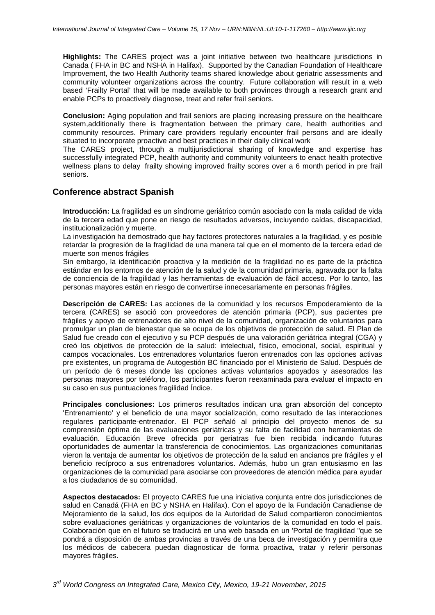**Highlights:** The CARES project was a joint initiative between two healthcare jurisdictions in Canada ( FHA in BC and NSHA in Halifax). Supported by the Canadian Foundation of Healthcare Improvement, the two Health Authority teams shared knowledge about geriatric assessments and community volunteer organizations across the country. Future collaboration will result in a web based 'Frailty Portal' that will be made available to both provinces through a research grant and enable PCPs to proactively diagnose, treat and refer frail seniors.

**Conclusion:** Aging population and frail seniors are placing increasing pressure on the healthcare system,additionally there is fragmentation between the primary care, health authorities and community resources. Primary care providers regularly encounter frail persons and are ideally situated to incorporate proactive and best practices in their daily clinical work

The CARES project, through a multijurisdictional sharing of knowledge and expertise has successfully integrated PCP, health authority and community volunteers to enact health protective wellness plans to delay frailty showing improved frailty scores over a 6 month period in pre frail seniors.

# **Conference abstract Spanish**

**Introducción:** La fragilidad es un síndrome geriátrico común asociado con la mala calidad de vida de la tercera edad que pone en riesgo de resultados adversos, incluyendo caídas, discapacidad, institucionalización y muerte.

La investigación ha demostrado que hay factores protectores naturales a la fragilidad, y es posible retardar la progresión de la fragilidad de una manera tal que en el momento de la tercera edad de muerte son menos frágiles

Sin embargo, la identificación proactiva y la medición de la fragilidad no es parte de la práctica estándar en los entornos de atención de la salud y de la comunidad primaria, agravada por la falta de conciencia de la fragilidad y las herramientas de evaluación de fácil acceso. Por lo tanto, las personas mayores están en riesgo de convertirse innecesariamente en personas frágiles.

**Descripción de CARES:** Las acciones de la comunidad y los recursos Empoderamiento de la tercera (CARES) se asoció con proveedores de atención primaria (PCP), sus pacientes pre frágiles y apoyo de entrenadores de alto nivel de la comunidad, organización de voluntarios para promulgar un plan de bienestar que se ocupa de los objetivos de protección de salud. El Plan de Salud fue creado con el ejecutivo y su PCP después de una valoración geriátrica integral (CGA) y creó los objetivos de protección de la salud: intelectual, físico, emocional, social, espiritual y campos vocacionales. Los entrenadores voluntarios fueron entrenados con las opciones activas pre existentes, un programa de Autogestión BC financiado por el Ministerio de Salud. Después de un período de 6 meses donde las opciones activas voluntarios apoyados y asesorados las personas mayores por teléfono, los participantes fueron reexaminada para evaluar el impacto en su caso en sus puntuaciones fragilidad Índice.

**Principales conclusiones:** Los primeros resultados indican una gran absorción del concepto 'Entrenamiento' y el beneficio de una mayor socialización, como resultado de las interacciones regulares participante-entrenador. El PCP señaló al principio del proyecto menos de su comprensión óptima de las evaluaciones geriátricas y su falta de facilidad con herramientas de evaluación. Educación Breve ofrecida por geriatras fue bien recibida indicando futuras oportunidades de aumentar la transferencia de conocimientos. Las organizaciones comunitarias vieron la ventaja de aumentar los objetivos de protección de la salud en ancianos pre frágiles y el beneficio recíproco a sus entrenadores voluntarios. Además, hubo un gran entusiasmo en las organizaciones de la comunidad para asociarse con proveedores de atención médica para ayudar a los ciudadanos de su comunidad.

**Aspectos destacados:** El proyecto CARES fue una iniciativa conjunta entre dos jurisdicciones de salud en Canadá (FHA en BC y NSHA en Halifax). Con el apoyo de la Fundación Canadiense de Mejoramiento de la salud, los dos equipos de la Autoridad de Salud compartieron conocimientos sobre evaluaciones geriátricas y organizaciones de voluntarios de la comunidad en todo el país. Colaboración que en el futuro se traducirá en una web basada en un 'Portal de fragilidad "que se pondrá a disposición de ambas provincias a través de una beca de investigación y permitira que los médicos de cabecera puedan diagnosticar de forma proactiva, tratar y referir personas mayores frágiles.